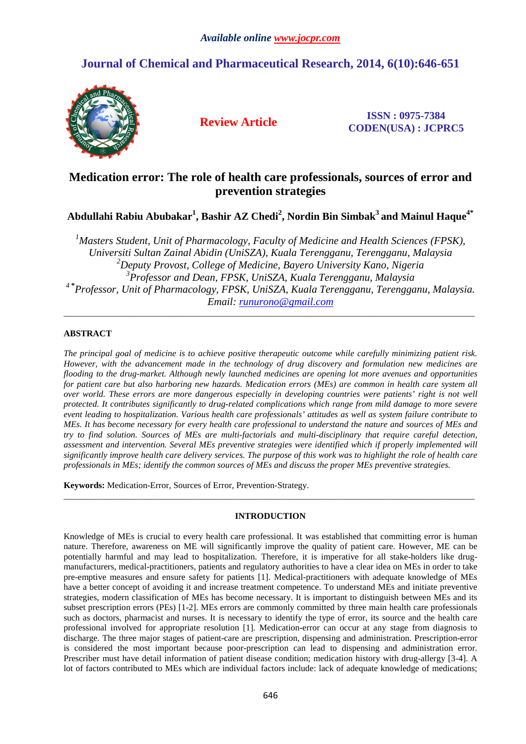# **Journal of Chemical and Pharmaceutical Research, 2014, 6(10):646-651**



**Review Article ISSN : 0975-7384 CODEN(USA) : JCPRC5**

# **Medication error: The role of health care professionals, sources of error and prevention strategies**

**Abdullahi Rabiu Abubakar<sup>1</sup> , Bashir AZ Chedi<sup>2</sup> , Nordin Bin Simbak<sup>3</sup>and Mainul Haque4\*** 

*Masters Student, Unit of Pharmacology, Faculty of Medicine and Health Sciences (FPSK), Universiti Sultan Zainal Abidin (UniSZA), Kuala Terengganu, Terengganu, Malaysia Deputy Provost, College of Medicine, Bayero University Kano, Nigeria Professor and Dean, FPSK, UniSZA, Kuala Terengganu, Malaysia*  **\*** *Professor, Unit of Pharmacology, FPSK, UniSZA, Kuala Terengganu, Terengganu, Malaysia. Email: runurono@gmail.com* 

\_\_\_\_\_\_\_\_\_\_\_\_\_\_\_\_\_\_\_\_\_\_\_\_\_\_\_\_\_\_\_\_\_\_\_\_\_\_\_\_\_\_\_\_\_\_\_\_\_\_\_\_\_\_\_\_\_\_\_\_\_\_\_\_\_\_\_\_\_\_\_\_\_\_\_\_\_\_\_\_\_\_\_\_\_\_\_\_\_\_\_\_\_

# **ABSTRACT**

*The principal goal of medicine is to achieve positive therapeutic outcome while carefully minimizing patient risk. However, with the advancement made in the technology of drug discovery and formulation new medicines are flooding to the drug-market. Although newly launched medicines are opening lot more avenues and opportunities for patient care but also harboring new hazards. Medication errors (MEs) are common in health care system all over world. These errors are more dangerous especially in developing countries were patients' right is not well protected. It contributes significantly to drug-related complications which range from mild damage to more severe event leading to hospitalization. Various health care professionals' attitudes as well as system failure contribute to MEs. It has become necessary for every health care professional to understand the nature and sources of MEs and try to find solution. Sources of MEs are multi-factorials and multi-disciplinary that require careful detection, assessment and intervention. Several MEs preventive strategies were identified which if properly implemented will significantly improve health care delivery services. The purpose of this work was to highlight the role of health care professionals in MEs; identify the common sources of MEs and discuss the proper MEs preventive strategies.* 

**Keywords:** Medication-Error, Sources of Error, Prevention-Strategy.

# **INTRODUCTION**

\_\_\_\_\_\_\_\_\_\_\_\_\_\_\_\_\_\_\_\_\_\_\_\_\_\_\_\_\_\_\_\_\_\_\_\_\_\_\_\_\_\_\_\_\_\_\_\_\_\_\_\_\_\_\_\_\_\_\_\_\_\_\_\_\_\_\_\_\_\_\_\_\_\_\_\_\_\_\_\_\_\_\_\_\_\_\_\_\_\_\_\_\_

Knowledge of MEs is crucial to every health care professional. It was established that committing error is human nature. Therefore, awareness on ME will significantly improve the quality of patient care. However, ME can be potentially harmful and may lead to hospitalization. Therefore, it is imperative for all stake-holders like drugmanufacturers, medical-practitioners, patients and regulatory authorities to have a clear idea on MEs in order to take pre-emptive measures and ensure safety for patients [1]. Medical-practitioners with adequate knowledge of MEs have a better concept of avoiding it and increase treatment competence. To understand MEs and initiate preventive strategies, modern classification of MEs has become necessary. It is important to distinguish between MEs and its subset prescription errors (PEs) [1-2]. MEs errors are commonly committed by three main health care professionals such as doctors, pharmacist and nurses. It is necessary to identify the type of error, its source and the health care professional involved for appropriate resolution [1]. Medication-error can occur at any stage from diagnosis to discharge. The three major stages of patient-care are prescription, dispensing and administration. Prescription-error is considered the most important because poor-prescription can lead to dispensing and administration error. Prescriber must have detail information of patient disease condition; medication history with drug-allergy [3-4]. A lot of factors contributed to MEs which are individual factors include: lack of adequate knowledge of medications;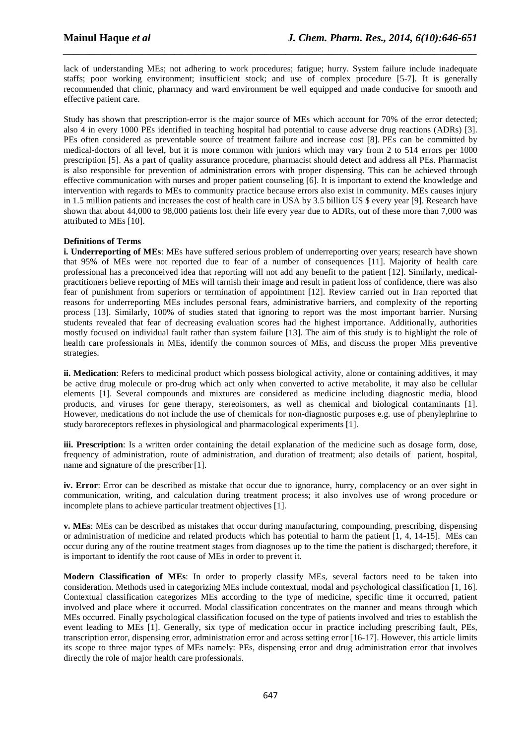lack of understanding MEs; not adhering to work procedures; fatigue; hurry. System failure include inadequate staffs; poor working environment; insufficient stock; and use of complex procedure [5-7]. It is generally recommended that clinic, pharmacy and ward environment be well equipped and made conducive for smooth and effective patient care.

*\_\_\_\_\_\_\_\_\_\_\_\_\_\_\_\_\_\_\_\_\_\_\_\_\_\_\_\_\_\_\_\_\_\_\_\_\_\_\_\_\_\_\_\_\_\_\_\_\_\_\_\_\_\_\_\_\_\_\_\_\_\_\_\_\_\_\_\_\_\_\_\_\_\_\_\_\_\_*

Study has shown that prescription-error is the major source of MEs which account for 70% of the error detected; also 4 in every 1000 PEs identified in teaching hospital had potential to cause adverse drug reactions (ADRs) [3]. PEs often considered as preventable source of treatment failure and increase cost [8]. PEs can be committed by medical-doctors of all level, but it is more common with juniors which may vary from 2 to 514 errors per 1000 prescription [5]. As a part of quality assurance procedure, pharmacist should detect and address all PEs. Pharmacist is also responsible for prevention of administration errors with proper dispensing. This can be achieved through effective communication with nurses and proper patient counseling [6]. It is important to extend the knowledge and intervention with regards to MEs to community practice because errors also exist in community. MEs causes injury in 1.5 million patients and increases the cost of health care in USA by 3.5 billion US \$ every year [9]. Research have shown that about 44,000 to 98,000 patients lost their life every year due to ADRs, out of these more than 7,000 was attributed to MEs [10].

## **Definitions of Terms**

**i. Underreporting of MEs**: MEs have suffered serious problem of underreporting over years; research have shown that 95% of MEs were not reported due to fear of a number of consequences [11]. Majority of health care professional has a preconceived idea that reporting will not add any benefit to the patient [12]. Similarly, medicalpractitioners believe reporting of MEs will tarnish their image and result in patient loss of confidence, there was also fear of punishment from superiors or termination of appointment [12]. Review carried out in Iran reported that reasons for underreporting MEs includes personal fears, administrative barriers, and complexity of the reporting process [13]. Similarly, 100% of studies stated that ignoring to report was the most important barrier. Nursing students revealed that fear of decreasing evaluation scores had the highest importance. Additionally, authorities mostly focused on individual fault rather than system failure [13]. The aim of this study is to highlight the role of health care professionals in MEs, identify the common sources of MEs, and discuss the proper MEs preventive strategies.

**ii. Medication**: Refers to medicinal product which possess biological activity, alone or containing additives, it may be active drug molecule or pro-drug which act only when converted to active metabolite, it may also be cellular elements [1]. Several compounds and mixtures are considered as medicine including diagnostic media, blood products, and viruses for gene therapy, stereoisomers, as well as chemical and biological contaminants [1]. However, medications do not include the use of chemicals for non-diagnostic purposes e.g. use of phenylephrine to study baroreceptors reflexes in physiological and pharmacological experiments [1].

**iii. Prescription**: Is a written order containing the detail explanation of the medicine such as dosage form, dose, frequency of administration, route of administration, and duration of treatment; also details of patient, hospital, name and signature of the prescriber [1].

**iv. Error**: Error can be described as mistake that occur due to ignorance, hurry, complacency or an over sight in communication, writing, and calculation during treatment process; it also involves use of wrong procedure or incomplete plans to achieve particular treatment objectives [1].

**v. MEs**: MEs can be described as mistakes that occur during manufacturing, compounding, prescribing, dispensing or administration of medicine and related products which has potential to harm the patient [1, 4, 14-15]. MEs can occur during any of the routine treatment stages from diagnoses up to the time the patient is discharged; therefore, it is important to identify the root cause of MEs in order to prevent it.

**Modern Classification of MEs**: In order to properly classify MEs, several factors need to be taken into consideration. Methods used in categorizing MEs include contextual, modal and psychological classification [1, 16]. Contextual classification categorizes MEs according to the type of medicine, specific time it occurred, patient involved and place where it occurred. Modal classification concentrates on the manner and means through which MEs occurred. Finally psychological classification focused on the type of patients involved and tries to establish the event leading to MEs [1]. Generally, six type of medication occur in practice including prescribing fault, PEs, transcription error, dispensing error, administration error and across setting error [16-17]. However, this article limits its scope to three major types of MEs namely: PEs, dispensing error and drug administration error that involves directly the role of major health care professionals.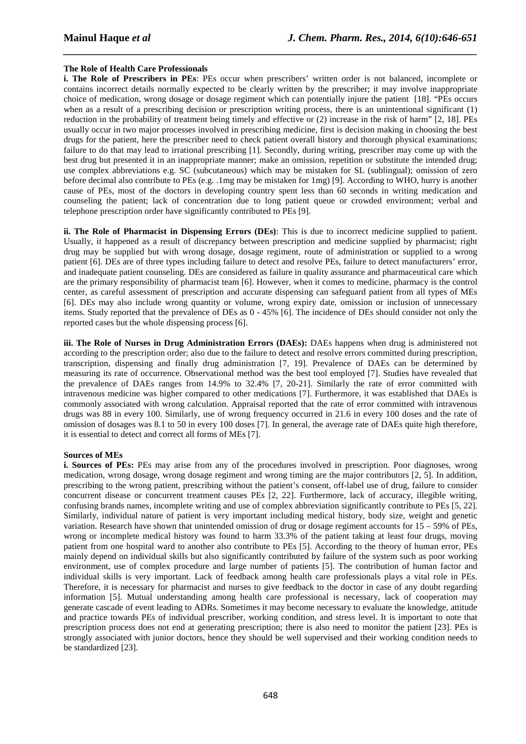### **The Role of Health Care Professionals**

**i. The Role of Prescribers in PEs**: PEs occur when prescribers' written order is not balanced, incomplete or contains incorrect details normally expected to be clearly written by the prescriber; it may involve inappropriate choice of medication, wrong dosage or dosage regiment which can potentially injure the patient [18]. "PEs occurs when as a result of a prescribing decision or prescription writing process, there is an unintentional significant (1) reduction in the probability of treatment being timely and effective or (2) increase in the risk of harm" [2, 18]. PEs usually occur in two major processes involved in prescribing medicine, first is decision making in choosing the best drugs for the patient, here the prescriber need to check patient overall history and thorough physical examinations; failure to do that may lead to irrational prescribing [1]. Secondly, during writing, prescriber may come up with the best drug but presented it in an inappropriate manner; make an omission, repetition or substitute the intended drug; use complex abbreviations e.g. SC (subcutaneous) which may be mistaken for SL (sublingual); omission of zero before decimal also contribute to PEs (e.g. .1mg may be mistaken for 1mg) [9]. According to WHO, hurry is another cause of PEs, most of the doctors in developing country spent less than 60 seconds in writing medication and counseling the patient; lack of concentration due to long patient queue or crowded environment; verbal and telephone prescription order have significantly contributed to PEs [9].

*\_\_\_\_\_\_\_\_\_\_\_\_\_\_\_\_\_\_\_\_\_\_\_\_\_\_\_\_\_\_\_\_\_\_\_\_\_\_\_\_\_\_\_\_\_\_\_\_\_\_\_\_\_\_\_\_\_\_\_\_\_\_\_\_\_\_\_\_\_\_\_\_\_\_\_\_\_\_*

**ii. The Role of Pharmacist in Dispensing Errors (DEs)**: This is due to incorrect medicine supplied to patient. Usually, it happened as a result of discrepancy between prescription and medicine supplied by pharmacist; right drug may be supplied but with wrong dosage, dosage regiment, route of administration or supplied to a wrong patient [6]. DEs are of three types including failure to detect and resolve PEs, failure to detect manufacturers' error, and inadequate patient counseling. DEs are considered as failure in quality assurance and pharmaceutical care which are the primary responsibility of pharmacist team [6]. However, when it comes to medicine, pharmacy is the control center, as careful assessment of prescription and accurate dispensing can safeguard patient from all types of MEs [6]. DEs may also include wrong quantity or volume, wrong expiry date, omission or inclusion of unnecessary items. Study reported that the prevalence of DEs as 0 - 45% [6]. The incidence of DEs should consider not only the reported cases but the whole dispensing process [6].

**iii. The Role of Nurses in Drug Administration Errors (DAEs):** DAEs happens when drug is administered not according to the prescription order; also due to the failure to detect and resolve errors committed during prescription, transcription, dispensing and finally drug administration [7, 19]. Prevalence of DAEs can be determined by measuring its rate of occurrence. Observational method was the best tool employed [7]. Studies have revealed that the prevalence of DAEs ranges from 14.9% to 32.4% [7, 20-21]. Similarly the rate of error committed with intravenous medicine was higher compared to other medications [7]. Furthermore, it was established that DAEs is commonly associated with wrong calculation. Appraisal reported that the rate of error committed with intravenous drugs was 88 in every 100. Similarly, use of wrong frequency occurred in 21.6 in every 100 doses and the rate of omission of dosages was 8.1 to 50 in every 100 doses [7]. In general, the average rate of DAEs quite high therefore, it is essential to detect and correct all forms of MEs [7].

#### **Sources of MEs**

**i. Sources of PEs:** PEs may arise from any of the procedures involved in prescription. Poor diagnoses, wrong medication, wrong dosage, wrong dosage regiment and wrong timing are the major contributors [2, 5]. In addition, prescribing to the wrong patient, prescribing without the patient's consent, off-label use of drug, failure to consider concurrent disease or concurrent treatment causes PEs [2, 22]. Furthermore, lack of accuracy, illegible writing, confusing brands names, incomplete writing and use of complex abbreviation significantly contribute to PEs [5, 22]. Similarly, individual nature of patient is very important including medical history, body size, weight and genetic variation. Research have shown that unintended omission of drug or dosage regiment accounts for  $15 - 59\%$  of PEs, wrong or incomplete medical history was found to harm 33.3% of the patient taking at least four drugs, moving patient from one hospital ward to another also contribute to PEs [5]. According to the theory of human error, PEs mainly depend on individual skills but also significantly contributed by failure of the system such as poor working environment, use of complex procedure and large number of patients [5]. The contribution of human factor and individual skills is very important. Lack of feedback among health care professionals plays a vital role in PEs. Therefore, it is necessary for pharmacist and nurses to give feedback to the doctor in case of any doubt regarding information [5]. Mutual understanding among health care professional is necessary, lack of cooperation may generate cascade of event leading to ADRs. Sometimes it may become necessary to evaluate the knowledge, attitude and practice towards PEs of individual prescriber, working condition, and stress level. It is important to note that prescription process does not end at generating prescription; there is also need to monitor the patient [23]. PEs is strongly associated with junior doctors, hence they should be well supervised and their working condition needs to be standardized [23].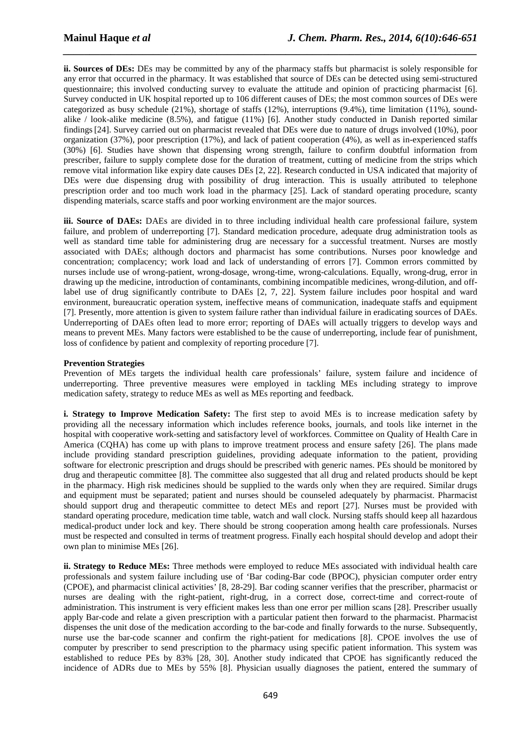**ii. Sources of DEs:** DEs may be committed by any of the pharmacy staffs but pharmacist is solely responsible for any error that occurred in the pharmacy. It was established that source of DEs can be detected using semi-structured questionnaire; this involved conducting survey to evaluate the attitude and opinion of practicing pharmacist [6]. Survey conducted in UK hospital reported up to 106 different causes of DEs; the most common sources of DEs were categorized as busy schedule (21%), shortage of staffs (12%), interruptions (9.4%), time limitation (11%), soundalike / look-alike medicine (8.5%), and fatigue (11%) [6]. Another study conducted in Danish reported similar findings[24]. Survey carried out on pharmacist revealed that DEs were due to nature of drugs involved (10%), poor organization (37%), poor prescription (17%), and lack of patient cooperation (4%), as well as in-experienced staffs (30%) [6]. Studies have shown that dispensing wrong strength, failure to confirm doubtful information from prescriber, failure to supply complete dose for the duration of treatment, cutting of medicine from the strips which remove vital information like expiry date causes DEs [2, 22]. Research conducted in USA indicated that majority of DEs were due dispensing drug with possibility of drug interaction. This is usually attributed to telephone prescription order and too much work load in the pharmacy [25]. Lack of standard operating procedure, scanty dispending materials, scarce staffs and poor working environment are the major sources.

*\_\_\_\_\_\_\_\_\_\_\_\_\_\_\_\_\_\_\_\_\_\_\_\_\_\_\_\_\_\_\_\_\_\_\_\_\_\_\_\_\_\_\_\_\_\_\_\_\_\_\_\_\_\_\_\_\_\_\_\_\_\_\_\_\_\_\_\_\_\_\_\_\_\_\_\_\_\_*

**iii. Source of DAEs:** DAEs are divided in to three including individual health care professional failure, system failure, and problem of underreporting [7]. Standard medication procedure, adequate drug administration tools as well as standard time table for administering drug are necessary for a successful treatment. Nurses are mostly associated with DAEs; although doctors and pharmacist has some contributions. Nurses poor knowledge and concentration; complacency; work load and lack of understanding of errors [7]. Common errors committed by nurses include use of wrong-patient, wrong-dosage, wrong-time, wrong-calculations. Equally, wrong-drug, error in drawing up the medicine, introduction of contaminants, combining incompatible medicines, wrong-dilution, and offlabel use of drug significantly contribute to DAEs [2, 7, 22]. System failure includes poor hospital and ward environment, bureaucratic operation system, ineffective means of communication, inadequate staffs and equipment [7]. Presently, more attention is given to system failure rather than individual failure in eradicating sources of DAEs. Underreporting of DAEs often lead to more error; reporting of DAEs will actually triggers to develop ways and means to prevent MEs. Many factors were established to be the cause of underreporting, include fear of punishment, loss of confidence by patient and complexity of reporting procedure [7].

## **Prevention Strategies**

Prevention of MEs targets the individual health care professionals' failure, system failure and incidence of underreporting. Three preventive measures were employed in tackling MEs including strategy to improve medication safety, strategy to reduce MEs as well as MEs reporting and feedback.

**i. Strategy to Improve Medication Safety:** The first step to avoid MEs is to increase medication safety by providing all the necessary information which includes reference books, journals, and tools like internet in the hospital with cooperative work-setting and satisfactory level of workforces. Committee on Quality of Health Care in America (CQHA) has come up with plans to improve treatment process and ensure safety [26]. The plans made include providing standard prescription guidelines, providing adequate information to the patient, providing software for electronic prescription and drugs should be prescribed with generic names. PEs should be monitored by drug and therapeutic committee [8]. The committee also suggested that all drug and related products should be kept in the pharmacy. High risk medicines should be supplied to the wards only when they are required. Similar drugs and equipment must be separated; patient and nurses should be counseled adequately by pharmacist. Pharmacist should support drug and therapeutic committee to detect MEs and report [27]. Nurses must be provided with standard operating procedure, medication time table, watch and wall clock. Nursing staffs should keep all hazardous medical-product under lock and key. There should be strong cooperation among health care professionals. Nurses must be respected and consulted in terms of treatment progress. Finally each hospital should develop and adopt their own plan to minimise MEs [26].

**ii. Strategy to Reduce MEs:** Three methods were employed to reduce MEs associated with individual health care professionals and system failure including use of 'Bar coding-Bar code (BPOC), physician computer order entry (CPOE), and pharmacist clinical activities' [8, 28-29]. Bar coding scanner verifies that the prescriber, pharmacist or nurses are dealing with the right-patient, right-drug, in a correct dose, correct-time and correct-route of administration. This instrument is very efficient makes less than one error per million scans [28]. Prescriber usually apply Bar-code and relate a given prescription with a particular patient then forward to the pharmacist. Pharmacist dispenses the unit dose of the medication according to the bar-code and finally forwards to the nurse. Subsequently, nurse use the bar-code scanner and confirm the right-patient for medications [8]. CPOE involves the use of computer by prescriber to send prescription to the pharmacy using specific patient information. This system was established to reduce PEs by 83% [28, 30]. Another study indicated that CPOE has significantly reduced the incidence of ADRs due to MEs by 55% [8]. Physician usually diagnoses the patient, entered the summary of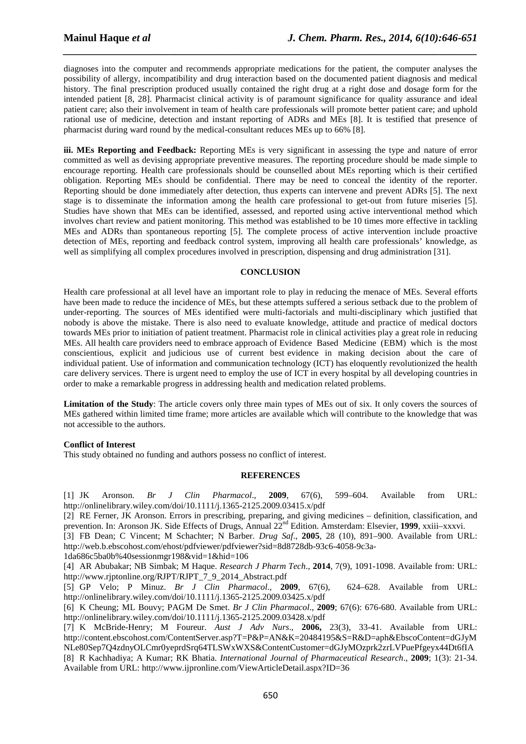diagnoses into the computer and recommends appropriate medications for the patient, the computer analyses the possibility of allergy, incompatibility and drug interaction based on the documented patient diagnosis and medical history. The final prescription produced usually contained the right drug at a right dose and dosage form for the intended patient [8, 28]. Pharmacist clinical activity is of paramount significance for quality assurance and ideal patient care; also their involvement in team of health care professionals will promote better patient care; and uphold rational use of medicine, detection and instant reporting of ADRs and MEs [8]. It is testified that presence of pharmacist during ward round by the medical-consultant reduces MEs up to 66% [8].

*\_\_\_\_\_\_\_\_\_\_\_\_\_\_\_\_\_\_\_\_\_\_\_\_\_\_\_\_\_\_\_\_\_\_\_\_\_\_\_\_\_\_\_\_\_\_\_\_\_\_\_\_\_\_\_\_\_\_\_\_\_\_\_\_\_\_\_\_\_\_\_\_\_\_\_\_\_\_*

**iii. MEs Reporting and Feedback:** Reporting MEs is very significant in assessing the type and nature of error committed as well as devising appropriate preventive measures. The reporting procedure should be made simple to encourage reporting. Health care professionals should be counselled about MEs reporting which is their certified obligation. Reporting MEs should be confidential. There may be need to conceal the identity of the reporter. Reporting should be done immediately after detection, thus experts can intervene and prevent ADRs [5]. The next stage is to disseminate the information among the health care professional to get-out from future miseries [5]. Studies have shown that MEs can be identified, assessed, and reported using active interventional method which involves chart review and patient monitoring. This method was established to be 10 times more effective in tackling MEs and ADRs than spontaneous reporting [5]. The complete process of active intervention include proactive detection of MEs, reporting and feedback control system, improving all health care professionals' knowledge, as well as simplifying all complex procedures involved in prescription, dispensing and drug administration [31].

## **CONCLUSION**

Health care professional at all level have an important role to play in reducing the menace of MEs. Several efforts have been made to reduce the incidence of MEs, but these attempts suffered a serious setback due to the problem of under-reporting. The sources of MEs identified were multi-factorials and multi-disciplinary which justified that nobody is above the mistake. There is also need to evaluate knowledge, attitude and practice of medical doctors towards MEs prior to initiation of patient treatment. Pharmacist role in clinical activities play a great role in reducing MEs. All health care providers need to embrace approach of Evidence Based Medicine (EBM) which is the most conscientious, explicit and judicious use of current best evidence in making decision about the care of individual patient. Use of information and communication technology (ICT) has eloquently revolutionized the health care delivery services. There is urgent need to employ the use of ICT in every hospital by all developing countries in order to make a remarkable progress in addressing health and medication related problems.

**Limitation of the Study**: The article covers only three main types of MEs out of six. It only covers the sources of MEs gathered within limited time frame; more articles are available which will contribute to the knowledge that was not accessible to the authors.

## **Conflict of Interest**

This study obtained no funding and authors possess no conflict of interest.

#### **REFERENCES**

[1] JK Aronson. *Br J Clin Pharmacol*., **2009**, 67(6), 599–604. Available from URL: http://onlinelibrary.wiley.com/doi/10.1111/j.1365-2125.2009.03415.x/pdf

[2] RE Ferner, JK Aronson. Errors in prescribing, preparing, and giving medicines – definition, classification, and prevention. In: Aronson JK. Side Effects of Drugs, Annual 22nd Edition. Amsterdam: Elsevier, **1999**, xxiii–xxxvi.

[3] FB Dean; C Vincent; M Schachter; N Barber. *Drug Saf*., **2005**, 28 (10), 891–900. Available from URL: http://web.b.ebscohost.com/ehost/pdfviewer/pdfviewer?sid=8d8728db-93c6-4058-9c3a-

1da686c5ba0b%40sessionmgr198&vid=1&hid=106

[4] AR Abubakar; NB Simbak; M Haque. *Research J Pharm Tech*., **2014**, 7(9), 1091-1098. Available from: URL: http://www.rjptonline.org/RJPT/RJPT\_7\_9\_2014\_Abstract.pdf

[5] GP Velo; P Minuz. *Br J Clin Pharmacol*., **2009**, 67(6), 624–628. Available from URL: http://onlinelibrary.wiley.com/doi/10.1111/j.1365-2125.2009.03425.x/pdf

[6] K Cheung; ML Bouvy; PAGM De Smet. *Br J Clin Pharmacol*., **2009**; 67(6): 676-680. Available from URL: http://onlinelibrary.wiley.com/doi/10.1111/j.1365-2125.2009.03428.x/pdf

[7] K McBride-Henry; M Foureur. *Aust J Adv Nurs*., **2006,** 23(3), 33-41. Available from URL: http://content.ebscohost.com/ContentServer.asp?T=P&P=AN&K=20484195&S=R&D=aph&EbscoContent=dGJyM NLe80Sep7Q4zdnyOLCmr0yeprdSrq64TLSWxWXS&ContentCustomer=dGJyMOzprk2zrLVPuePfgeyx44Dt6fIA [8] R Kachhadiya; A Kumar; RK Bhatia. *International Journal of Pharmaceutical Research*., **2009**; 1(3): 21-34. Available from URL: http://www.ijpronline.com/ViewArticleDetail.aspx?ID=36